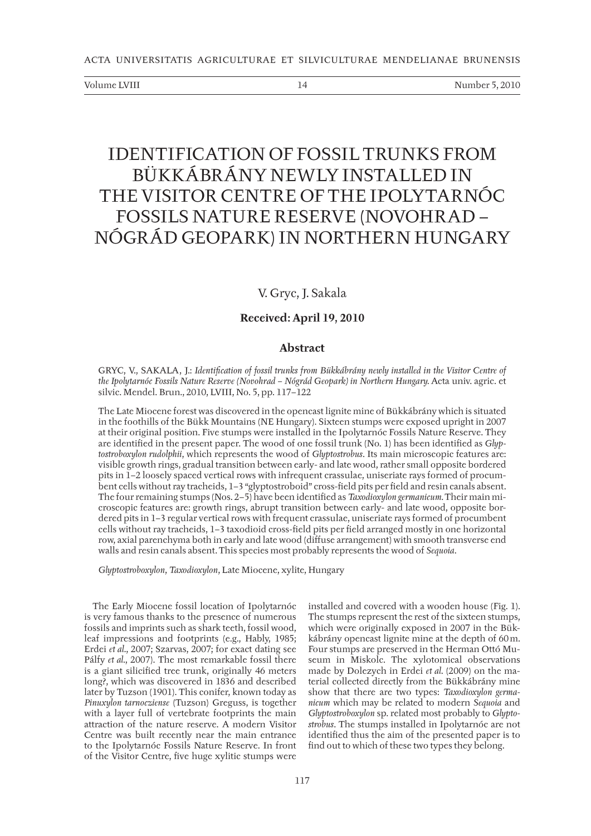Volume LVIII 14 and 14 Number 5, 2010

# IDENTIFICATION OF FOSSIL TRUNKS FROM BÜKKÁBRÁNY NEWLY INSTALLED IN THE VISITOR CENTRE OF THE IPOLYTARNÓC FOSSILS NATURE RESERVE (NOVOHRAD – NÓGRÁD GEOPARK) IN NORTHERN HUNGARY

# V. Gryc, J. Sakala

# **Received: April 19, 2010**

# **Abstract**

GRYC, V., SAKALA, J.: Identification of fossil trunks from Bükkábrány newly installed in the Visitor Centre of *the Ipolytarnóc Fossils Nature Reserve (Novohrad – Nógrád Geopark) in Northern Hungary.* Acta univ. agric. et silvic. Mendel. Brun., 2010, LVIII, No. 5, pp. 117–122

The Late Miocene forest was discovered in the opencast lignite mine of Bükkábrány which is situated in the foothills of the Bükk Mountains (NE Hungary). Sixteen stumps were exposed upright in 2007 at their original position. Five stumps were installed in the Ipolytarnóc Fossils Nature Reserve. They are identified in the present paper. The wood of one fossil trunk (No. 1) has been identified as *Glyptostroboxylon rudolphii*, which represents the wood of *Glyptostrobus*. Its main microscopic features are: visible growth rings, gradual transition between early- and late wood, rather small opposite bordered pits in 1–2 loosely spaced vertical rows with infrequent crassulae, uniseriate rays formed of procumbent cells without ray tracheids, 1-3 "glyptostroboid" cross-field pits per field and resin canals absent. The four remaining stumps (Nos. 2-5) have been identified as *Taxodioxylon germanicum*. Their main microscopic features are: growth rings, abrupt transition between early- and late wood, opposite bordered pits in 1–3 regular vertical rows with frequent crassulae, uniseriate rays formed of procumbent cells without ray tracheids, 1–3 taxodioid cross-field pits per field arranged mostly in one horizontal row, axial parenchyma both in early and late wood (diffuse arrangement) with smooth transverse end walls and resin canals absent.This species most probably represents the wood of *Sequoia*.

*Glyptostroboxylon*, *Taxodioxylon*, Late Miocene, xylite, Hungary

The Early Miocene fossil location of Ipolytarnóc is very famous thanks to the presence of numerous fossils and imprints such as shark teeth, fossil wood, leaf impressions and footprints (e.g., Hably, 1985; Erdei *et al.*, 2007; Szarvas, 2007; for exact dating see Pálfy *et al.*, 2007). The most remarkable fossil there is a giant silicified tree trunk, originally 46 meters long?, which was discovered in 1836 and described later by Tuzson (1901). This conifer, known today as *Pinuxylon tarnocziense* (Tuzson) Greguss, is together with a layer full of vertebrate footprints the main attraction of the nature reserve. A modern Visitor Centre was built recently near the main entrance to the Ipolytarnóc Fossils Nature Reserve. In front of the Visitor Centre, five huge xylitic stumps were

installed and covered with a wooden house (Fig. 1). The stumps represent the rest of the sixteen stumps, which were originally exposed in 2007 in the Bükkábrány opencast lignite mine at the depth of 60 m. Four stumps are preserved in the Herman Ottó Museum in Miskolc. The xylotomical observations made by Dolezych in Erdei *et al.* (2009) on the material collected directly from the Bükkábrány mine show that there are two types: Taxodioxylon germa*nicum* which may be related to modern *Sequoia* and *Glyptostroboxylon* sp. related most probably to *Glyptostrobus*. The stumps installed in Ipolytarnóc are not identified thus the aim of the presented paper is to find out to which of these two types they belong.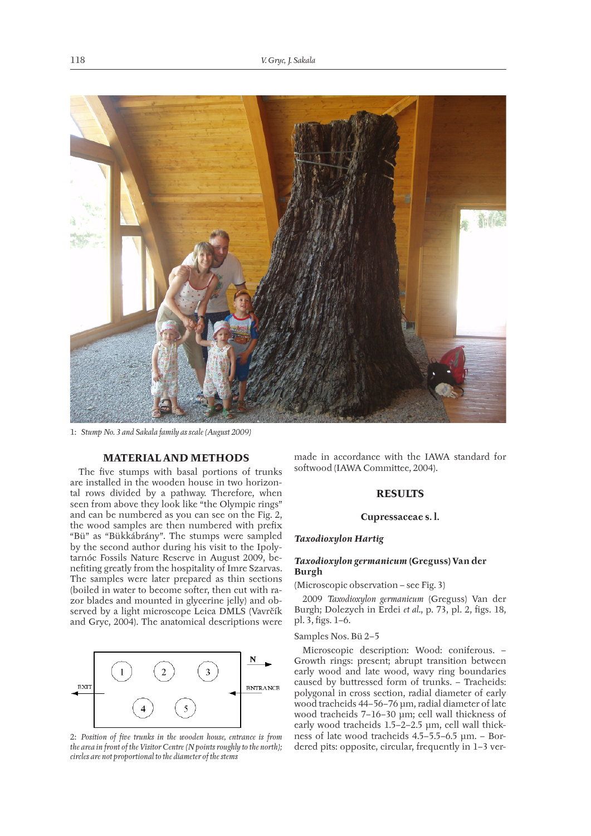

1: *Stump No. 3 and Sakala family as scale (August 2009)*

#### **MATERIAL AND METHODS**

The five stumps with basal portions of trunks are installed in the wooden house in two horizontal rows divided by a pathway. Therefore, when seen from above they look like "the Olympic rings" and can be numbered as you can see on the Fig. 2, the wood samples are then numbered with prefix "Bü" as "Bükkábrány". The stumps were sampled by the second author during his visit to the Ipolytarnóc Fossils Nature Reserve in August 2009, benefiting greatly from the hospitality of Imre Szarvas. The samples were later prepared as thin sections (boiled in water to become softer, then cut with razor blades and mounted in glycerine jelly) and observed by a light microscope Leica DMLS (Vavrčík and Gryc, 2004). The anatomical descriptions were



2: *Position of five trunks in the wooden house, entrance is from the area in front of the Visitor Centre (N points roughly to the north); circles are not proportional to the diameter of the stems*

made in accordance with the IAWA standard for softwood (IAWA Committee, 2004).

# **RESULTS**

#### **Cupressaceae s. l.**

#### *Taxodioxylon Hartig*

## *Taxodioxylon germanicum* **(Greguss) Van der Burgh**

(Microscopic observation – see Fig. 3)

2009 *Taxodioxylon germanicum* (Greguss) Van der Burgh; Dolezych in Erdei *et al.*, p. 73, pl. 2, figs. 18, pl. 3, figs. 1–6.

#### Samples Nos. Bü 2–5

Microscopic description: Wood: coniferous. – Growth rings: present; abrupt transition between early wood and late wood, wavy ring boundaries caused by buttressed form of trunks. – Tracheids: polygonal in cross section, radial diameter of early wood tracheids 44–56–76 μm, radial diameter of late wood tracheids 7–16–30 μm; cell wall thickness of early wood tracheids 1.5–2–2.5 μm, cell wall thickness of late wood tracheids 4.5–5.5–6.5 μm. – Bordered pits: opposite, circular, frequently in 1–3 ver-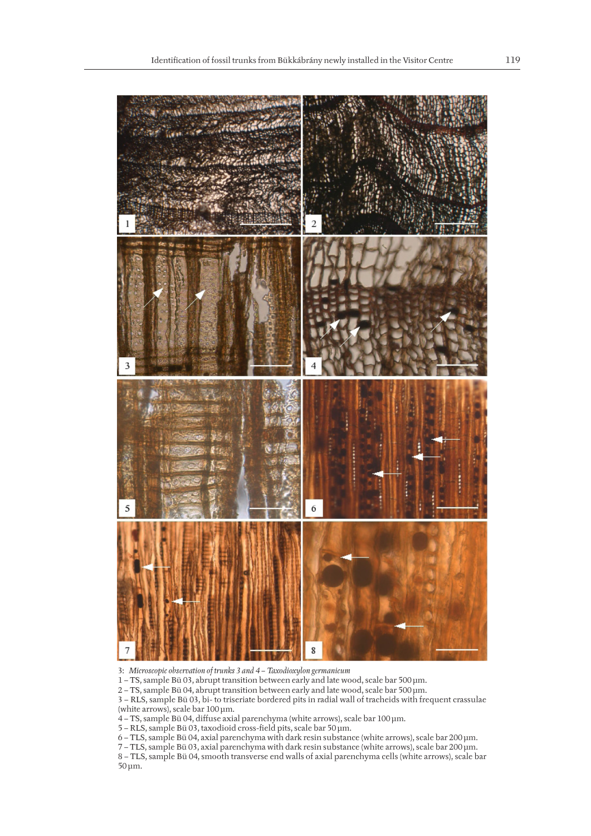

3: *Microscopic observation of trunks 3 and 4 – Taxodioxylon germanicum* 

1 – TS, sample Bü 03, abrupt transition between early and late wood, scale bar 500 μm.

2 – TS, sample Bü 04, abrupt transition between early and late wood, scale bar 500 μm.

3 – RLS, sample Bü 03, bi- to triseriate bordered pits in radial wall of tracheids with frequent crassulae (white arrows), scale bar 100 μm.

4 – TS, sample Bü 04, diff use axial parenchyma (white arrows), scale bar 100 μm.

5 – RLS, sample Bü 03, taxodioid cross-fi eld pits, scale bar 50 μm.

6 – TLS, sample Bü 04, axial parenchyma with dark resin substance (white arrows), scale bar 200 μm.

7 – TLS, sample Bü 03, axial parenchyma with dark resin substance (white arrows), scale bar 200 μm.

8 – TLS, sample Bü 04, smooth transverse end walls of axial parenchyma cells (white arrows), scale bar 50 μm.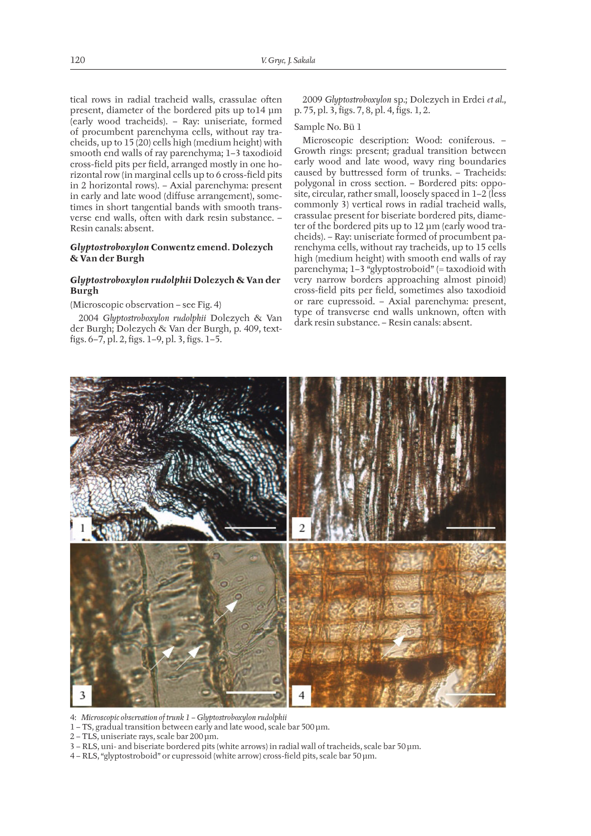tical rows in radial tracheid walls, crassulae often present, diameter of the bordered pits up to14 μm (early wood tracheids). – Ray: uniseriate, formed of procumbent parenchyma cells, without ray tracheids, up to 15 (20) cells high (medium height) with smooth end walls of ray parenchyma; 1–3 taxodioid cross-field pits per field, arranged mostly in one horizontal row (in marginal cells up to 6 cross-field pits in 2 horizontal rows). – Axial parenchyma: present in early and late wood (diffuse arrangement), sometimes in short tangential bands with smooth transverse end walls, often with dark resin substance. -Resin canals: absent.

## *Glyptostroboxylon* **Conwentz emend. Dolezych & Van der Burgh**

#### *Glyptostroboxylon rudolphii* **Dolezych & Van der Burgh**

(Microscopic observation – see Fig. 4)

2004 *Glyptostroboxylon rudolphii* Dolezych & Van der Burgh; Dolezych & Van der Burgh, p. 409, textfigs.  $6-7$ , pl. 2, figs.  $1-9$ , pl. 3, figs.  $1-5$ .

2009 *Glyptostroboxylon* sp.; Dolezych in Erdei *et al.*, p. 75, pl. 3, figs. 7, 8, pl. 4, figs. 1, 2.

#### Sample No. Bü 1

Microscopic description: Wood: coniferous. – Growth rings: present; gradual transition between early wood and late wood, wavy ring boundaries caused by buttressed form of trunks. – Tracheids: polygonal in cross section. – Bordered pits: opposite, circular, rather small, loosely spaced in 1–2 (less commonly 3) vertical rows in radial tracheid walls, crassulae present for biseriate bordered pits, diameter of the bordered pits up to  $12 \mu m$  (early wood tracheids). – Ray: uniseriate formed of procumbent parenchyma cells, without ray tracheids, up to 15 cells high (medium height) with smooth end walls of ray parenchyma; 1–3 "glyptostroboid" (= taxodioid with very narrow borders approaching almost pinoid) cross-field pits per field, sometimes also taxodioid or rare cupressoid. – Axial parenchyma: present, type of transverse end walls unknown, often with dark resin substance. – Resin canals: absent.



4: *Microscopic observation of trunk 1 – Glyptostroboxylon rudolphii* 

- 1 TS, gradual transition between early and late wood, scale bar 500 μm.
- 2 TLS, uniseriate rays, scale bar 200 μm.
- 3 RLS, uni- and biseriate bordered pits (white arrows) in radial wall of tracheids, scale bar 50 μm.
- 4 RLS, "glyptostroboid" or cupressoid (white arrow) cross-fi eld pits, scale bar 50 μm.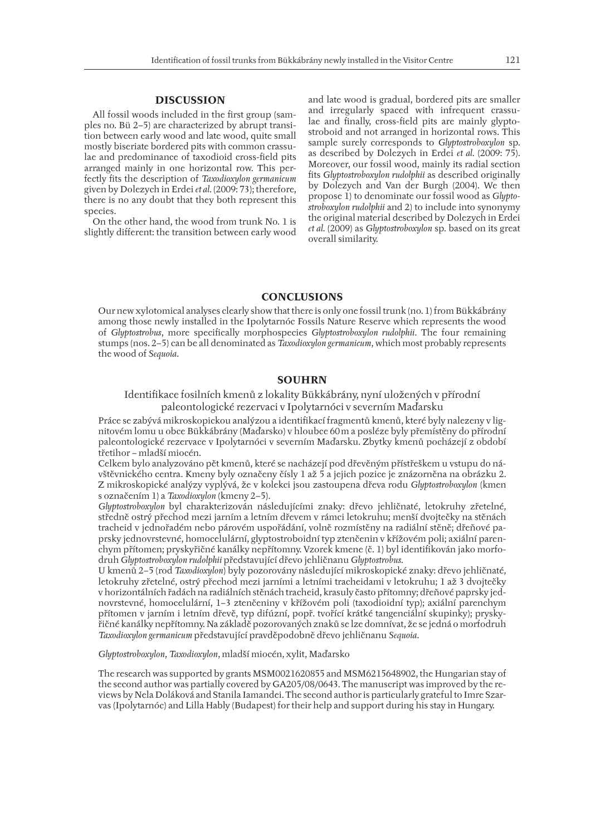## **DISCUSSION**

All fossil woods included in the first group (samples no. Bü 2–5) are characterized by abrupt transition between early wood and late wood, quite small mostly biseriate bordered pits with common crassulae and predominance of taxodioid cross-field pits arranged mainly in one horizontal row. This perfectly fits the description of *Taxodioxylon germanicum* given by Dolezych in Erdei *et al.* (2009: 73); therefore, there is no any doubt that they both represent this species.

On the other hand, the wood from trunk No. 1 is slightly different: the transition between early wood and late wood is gradual, bordered pits are smaller and irregularly spaced with infrequent crassulae and finally, cross-field pits are mainly glyptostroboid and not arranged in horizontal rows. This sample surely corresponds to *Glyptostroboxylon* sp. as described by Dolezych in Erdei *et al.* (2009: 75). Moreover, our fossil wood, mainly its radial section fits *Glyptostroboxylon rudolphii* as described originally by Dolezych and Van der Burgh (2004). We then propose 1) to denominate our fossil wood as *Glyptostroboxylon rudolphii* and 2) to include into synonymy the original material described by Dolezych in Erdei *et al.* (2009) as *Glyptostroboxylon* sp. based on its great overall similarity.

#### **CONCLUSIONS**

Our new xylotomical analyses clearly show that there is only one fossil trunk (no. 1) from Bükkábrány among those newly installed in the Ipolytarnóc Fossils Nature Reserve which represents the wood of *Glyptostrobus*, more specifically morphospecies *Glyptostroboxylon rudolphii*. The four remaining stumps (nos. 2–5) can be all denominated as *Taxodioxylon germanicum*, which most probably represents the wood of *Sequoia*.

#### **SOUHRN**

# Identifi kace fosilních kmenů z lokality Bükkábrány, nyní uložených v přírodní paleontologické rezervaci v Ipolytarnóci v severním Maďarsku

Práce se zabývá mikroskopickou analýzou a identifikací fragmentů kmenů, které byly nalezeny v lignitovém lomu u obce Bükkábrány (Maďarsko) v hloubce 60 m a posléze byly přemístěny do přírodní paleontologické rezervace v Ipolytarnóci v severním Maďarsku. Zbytky kmenů pocházejí z období třetihor – mladší miocén.

Celkem bylo analyzováno pět kmenů, které se nacházejí pod dřevěným přístřeškem u vstupu do návštěvnického centra. Kmeny byly označeny čísly 1 až 5 a jejich pozice je znázorněna na obrázku 2. Z mikroskopické analýzy vyplývá, že v kolekci jsou zastoupena dřeva rodu *Glyptostroboxylon* (kmen s označením 1) a *Taxodioxylon* (kmeny 2–5).

*Glyptostroboxylon* byl charakterizován následujícími znaky: dřevo jehličnaté, letokruhy zřetelné, středně ostrý přechod mezi jarním a letním dřevem v rámci letokruhu; menší dvojtečky na stěnách tracheid v jednořadém nebo párovém uspořádání, volně rozmístěny na radiální stěně; dřeňové paprsky jednovrstevné, homocelulární, glyptostroboidní typ ztenčenin v křížovém poli; axiální parenchym přítomen; pryskyřičné kanálky nepřítomny. Vzorek kmene (č. 1) byl identifi kován jako morfodruh *Glyptostroboxylon rudolphii* představující dřevo jehličnanu *Glyptostrobus.*

U kmenů 2–5 (rod *Taxodioxylon*) byly pozorovány následující mikroskopické znaky: dřevo jehličnaté, letokruhy zřetelné, ostrý přechod mezi jarními a letními tracheidami v letokruhu; 1 až 3 dvojtečky v horizontálních řadách na radiálních stěnách tracheid, krasuly často přítomny; dřeňové paprsky jednovrstevné, homocelulární, 1–3 ztenčeniny v křížovém poli (taxodioidní typ); axiální parenchym přítomen v jarním i letním dřevě, typ difúzní, popř. tvořící krátké tangenciální skupinky); pryskyřičné kanálky nepřítomny. Na základě pozorovaných znaků se lze domnívat, že se jedná o morfodruh *Taxodioxylon germanicum* představující pravděpodobně dřevo jehličnanu *Sequoia*.

*Glyptostroboxylon*, *Taxodioxylon*, mladší miocén, xylit, Maďarsko

The research was supported by grants MSM0021620855 and MSM6215648902, the Hungarian stay of the second author was partially covered by GA205/08/0643. The manuscript was improved by the reviews by Nela Doláková and Stanila Iamandei. The second author is particularly grateful to Imre Szarvas (Ipolytarnóc) and Lilla Hably (Budapest) for their help and support during his stay in Hungary.